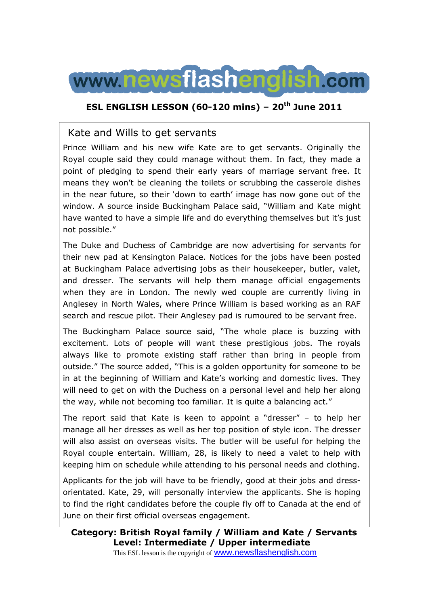

## **ESL ENGLISH LESSON (60-120 mins) – 20th June 2011**

## Kate and Wills to get servants

Prince William and his new wife Kate are to get servants. Originally the Royal couple said they could manage without them. In fact, they made a point of pledging to spend their early years of marriage servant free. It means they won't be cleaning the toilets or scrubbing the casserole dishes in the near future, so their 'down to earth' image has now gone out of the window. A source inside Buckingham Palace said, "William and Kate might have wanted to have a simple life and do everything themselves but it's just not possible."

The Duke and Duchess of Cambridge are now advertising for servants for their new pad at Kensington Palace. Notices for the jobs have been posted at Buckingham Palace advertising jobs as their housekeeper, butler, valet, and dresser. The servants will help them manage official engagements when they are in London. The newly wed couple are currently living in Anglesey in North Wales, where Prince William is based working as an RAF search and rescue pilot. Their Anglesey pad is rumoured to be servant free.

The Buckingham Palace source said, "The whole place is buzzing with excitement. Lots of people will want these prestigious jobs. The royals always like to promote existing staff rather than bring in people from outside." The source added, "This is a golden opportunity for someone to be in at the beginning of William and Kate's working and domestic lives. They will need to get on with the Duchess on a personal level and help her along the way, while not becoming too familiar. It is quite a balancing act."

The report said that Kate is keen to appoint a "dresser" – to help her manage all her dresses as well as her top position of style icon. The dresser will also assist on overseas visits. The butler will be useful for helping the Royal couple entertain. William, 28, is likely to need a valet to help with keeping him on schedule while attending to his personal needs and clothing.

Applicants for the job will have to be friendly, good at their jobs and dressorientated. Kate, 29, will personally interview the applicants. She is hoping to find the right candidates before the couple fly off to Canada at the end of June on their first official overseas engagement.

**Category: British Royal family / William and Kate / Servants Level: Intermediate / Upper intermediate**

This ESL lesson is the copyright of **WWW.newsflashenglish.com**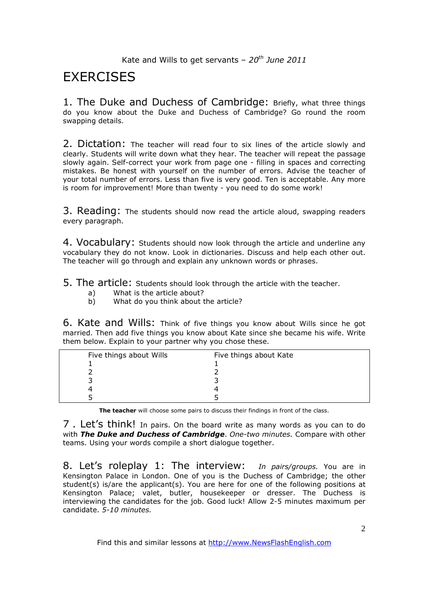# **EXERCISES**

1. The Duke and Duchess of Cambridge: Briefly, what three things do you know about the Duke and Duchess of Cambridge? Go round the room swapping details.

2. Dictation: The teacher will read four to six lines of the article slowly and clearly. Students will write down what they hear. The teacher will repeat the passage slowly again. Self-correct your work from page one - filling in spaces and correcting mistakes. Be honest with yourself on the number of errors. Advise the teacher of your total number of errors. Less than five is very good. Ten is acceptable. Any more is room for improvement! More than twenty - you need to do some work!

3. Reading: The students should now read the article aloud, swapping readers every paragraph.

4. Vocabulary: Students should now look through the article and underline any vocabulary they do not know. Look in dictionaries. Discuss and help each other out. The teacher will go through and explain any unknown words or phrases.

5. The article: Students should look through the article with the teacher.

- a) What is the article about?
- b) What do you think about the article?

6. Kate and Wills: Think of five things you know about Wills since he got married. Then add five things you know about Kate since she became his wife. Write them below. Explain to your partner why you chose these.

| Five things about Wills | Five things about Kate |
|-------------------------|------------------------|
|                         |                        |
|                         |                        |
|                         |                        |
|                         |                        |
|                         |                        |

**The teacher** will choose some pairs to discuss their findings in front of the class.

7. Let's think! In pairs. On the board write as many words as you can to do with *The Duke and Duchess of Cambridge*. *One-two minutes.* Compare with other teams. Using your words compile a short dialogue together.

8. Let's roleplay 1: The interview: *In pairs/groups.* You are in Kensington Palace in London. One of you is the Duchess of Cambridge; the other student(s) is/are the applicant(s). You are here for one of the following positions at Kensington Palace; valet, butler, housekeeper or dresser. The Duchess is interviewing the candidates for the job. Good luck! Allow 2-5 minutes maximum per candidate. *5-10 minutes.*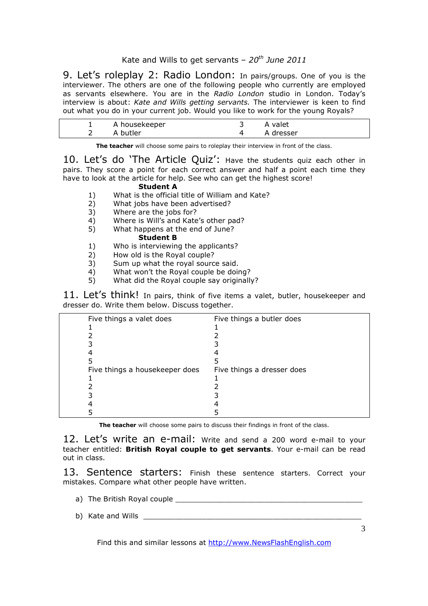9. Let's roleplay 2: Radio London: In pairs/groups. One of you is the interviewer. The others are one of the following people who currently are employed as servants elsewhere. You are in the *Radio London* studio in London. Today's interview is about: *Kate and Wills getting servants.* The interviewer is keen to find out what you do in your current job. Would you like to work for the young Royals?

| A housekeeper | A valet   |  |
|---------------|-----------|--|
| A butler      | A dresser |  |

**The teacher** will choose some pairs to roleplay their interview in front of the class.

10. Let's do 'The Article Quiz': Have the students quiz each other in pairs. They score a point for each correct answer and half a point each time they have to look at the article for help. See who can get the highest score!

#### **Student A**

- 1) What is the official title of William and Kate?
- 2) What jobs have been advertised?
- 3) Where are the jobs for?
- 4) Where is Will's and Kate's other pad?
- 5) What happens at the end of June?

#### **Student B**

- 1) Who is interviewing the applicants?
- 2) How old is the Royal couple?
- 3) Sum up what the royal source said.<br>4) What won't the Royal couple be doir
- 4) What won't the Royal couple be doing?<br>5) What did the Royal couple say originally
- What did the Royal couple say originally?

11. Let's think! In pairs, think of five items a valet, butler, housekeeper and dresser do. Write them below. Discuss together.

| Five things a valet does       | Five things a butler does  |
|--------------------------------|----------------------------|
|                                |                            |
|                                |                            |
|                                |                            |
|                                |                            |
|                                |                            |
| Five things a housekeeper does | Five things a dresser does |
|                                |                            |
|                                |                            |
|                                |                            |
|                                |                            |
|                                |                            |

**The teacher** will choose some pairs to discuss their findings in front of the class.

12. Let's write an e-mail: Write and send a 200 word e-mail to your teacher entitled: **British Royal couple to get servants**. Your e-mail can be read out in class.

13. Sentence starters: Finish these sentence starters. Correct your mistakes. Compare what other people have written.

- a) The British Royal couple \_\_\_\_\_\_\_\_\_\_\_\_\_\_\_\_\_\_\_\_\_\_\_\_\_\_\_\_\_\_\_\_\_\_\_\_\_\_\_\_\_\_
- b) Kate and Wills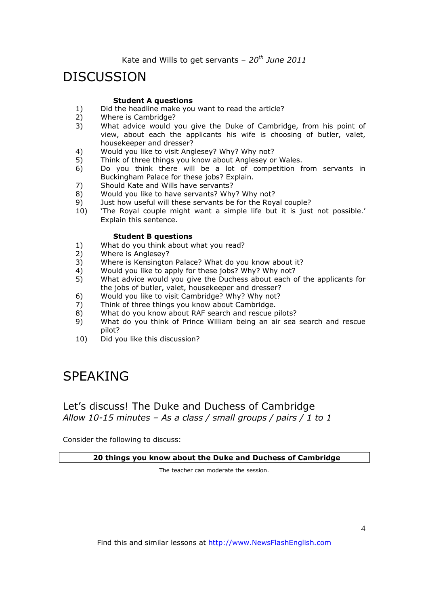## DISCUSSION

#### **Student A questions**

- 1) Did the headline make you want to read the article?<br>2) Where is Cambridge?
- 2) Where is Cambridge?<br>3) What advice would
- What advice would you give the Duke of Cambridge, from his point of view, about each the applicants his wife is choosing of butler, valet, housekeeper and dresser?
- 4) Would you like to visit Anglesey? Why? Why not?
- 5) Think of three things you know about Anglesey or Wales.
- 6) Do you think there will be a lot of competition from servants in Buckingham Palace for these jobs? Explain.
- 7) Should Kate and Wills have servants?<br>8) Would you like to have servants? Why
- 8) Would you like to have servants? Why? Why not?<br>9) Just how useful will these servants be for the Roy
- Just how useful will these servants be for the Royal couple?
- 10) 'The Royal couple might want a simple life but it is just not possible.' Explain this sentence.

#### **Student B questions**

- 1) What do you think about what you read?
- 2) Where is Anglesey?
- 3) Where is Kensington Palace? What do you know about it?
- 4) Would you like to apply for these jobs? Why? Why not?<br>5) What advice would you give the Duchess about each o
- What advice would you give the Duchess about each of the applicants for the jobs of butler, valet, housekeeper and dresser?
- 6) Would you like to visit Cambridge? Why? Why not?
- 7) Think of three things you know about Cambridge.
- 8) What do you know about RAF search and rescue pilots?
- 9) What do you think of Prince William being an air sea search and rescue pilot?
- 10) Did you like this discussion?

# SPEAKING

### Let's discuss! The Duke and Duchess of Cambridge *Allow 10-15 minutes – As a class / small groups / pairs / 1 to 1*

Consider the following to discuss:

 **20 things you know about the Duke and Duchess of Cambridge** 

The teacher can moderate the session.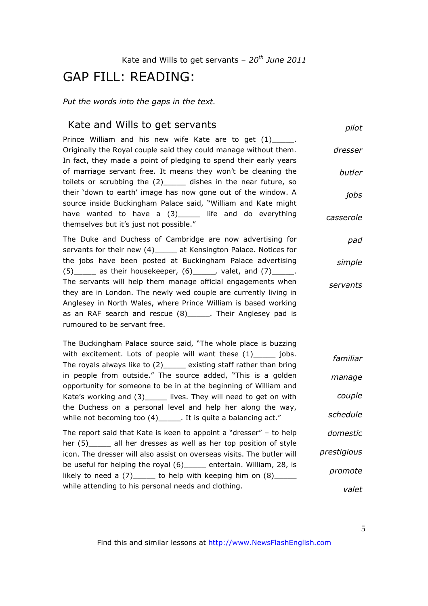## GAP FILL: READING:

*Put the words into the gaps in the text.* 

### Kate and Wills to get servants

*pilot*

Prince William and his new wife Kate are to get (1) . Originally the Royal couple said they could manage without them. In fact, they made a point of pledging to spend their early years of marriage servant free. It means they won't be cleaning the toilets or scrubbing the (2)\_\_\_\_\_ dishes in the near future, so their 'down to earth' image has now gone out of the window. A source inside Buckingham Palace said, "William and Kate might have wanted to have a (3)\_\_\_\_\_ life and do everything themselves but it's just not possible." *dresser butler jobs casserole*

The Duke and Duchess of Cambridge are now advertising for servants for their new (4)\_\_\_\_\_ at Kensington Palace. Notices for the jobs have been posted at Buckingham Palace advertising  $(5)$  as their housekeeper,  $(6)$  , valet, and  $(7)$  ... The servants will help them manage official engagements when they are in London. The newly wed couple are currently living in Anglesey in North Wales, where Prince William is based working as an RAF search and rescue (8)\_\_\_\_\_. Their Anglesey pad is rumoured to be servant free. *pad simple servants*

The Buckingham Palace source said, "The whole place is buzzing with excitement. Lots of people will want these (1) \_\_\_\_\_ jobs. The royals always like to (2)\_\_\_\_\_ existing staff rather than bring in people from outside." The source added, "This is a golden opportunity for someone to be in at the beginning of William and Kate's working and (3)\_\_\_\_\_ lives. They will need to get on with the Duchess on a personal level and help her along the way, while not becoming too (4) The state a balancing act." *familiar manage couple schedule*

The report said that Kate is keen to appoint a "dresser" – to help her (5) all her dresses as well as her top position of style icon. The dresser will also assist on overseas visits. The butler will be useful for helping the royal (6) entertain. William, 28, is likely to need a  $(7)$  \_\_\_\_\_ to help with keeping him on  $(8)$ \_\_\_\_ while attending to his personal needs and clothing. *domestic prestigious promote*

*valet*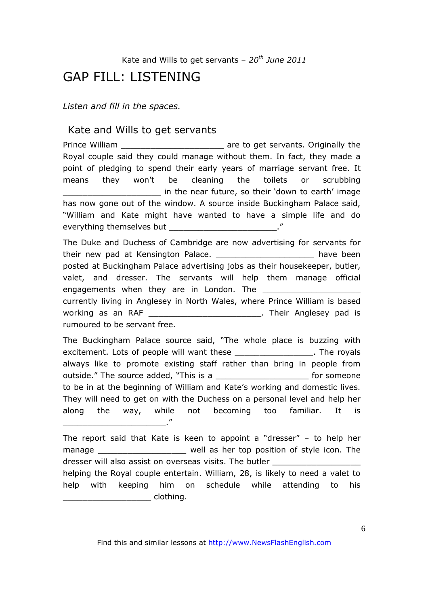## GAP FILL: LISTENING

*Listen and fill in the spaces.* 

### Kate and Wills to get servants

Prince William **Example 2** are to get servants. Originally the Royal couple said they could manage without them. In fact, they made a point of pledging to spend their early years of marriage servant free. It means they won't be cleaning the toilets or scrubbing in the near future, so their 'down to earth' image has now gone out of the window. A source inside Buckingham Palace said, "William and Kate might have wanted to have a simple life and do everything themselves but **Example 20** 

The Duke and Duchess of Cambridge are now advertising for servants for their new pad at Kensington Palace. Their new pad at Kensington Palace. posted at Buckingham Palace advertising jobs as their housekeeper, butler, valet, and dresser. The servants will help them manage official engagements when they are in London. The currently living in Anglesey in North Wales, where Prince William is based working as an RAF **working** as an RAF **working** as an RAF rumoured to be servant free.

The Buckingham Palace source said, "The whole place is buzzing with excitement. Lots of people will want these Theorem 2011. The royals always like to promote existing staff rather than bring in people from outside." The source added, "This is a \_\_\_\_\_\_\_\_\_\_\_\_\_\_\_\_\_\_\_\_\_\_\_\_\_\_ for someone to be in at the beginning of William and Kate's working and domestic lives. They will need to get on with the Duchess on a personal level and help her along the way, while not becoming too familiar. It is \_\_\_\_\_\_\_\_\_\_\_\_\_\_\_\_\_\_\_\_\_."

The report said that Kate is keen to appoint a "dresser" – to help her manage \_\_\_\_\_\_\_\_\_\_\_\_\_\_\_\_\_\_\_\_ well as her top position of style icon. The dresser will also assist on overseas visits. The butler helping the Royal couple entertain. William, 28, is likely to need a valet to help with keeping him on schedule while attending to his \_\_\_\_\_\_\_\_\_\_\_\_\_\_\_\_\_\_ clothing.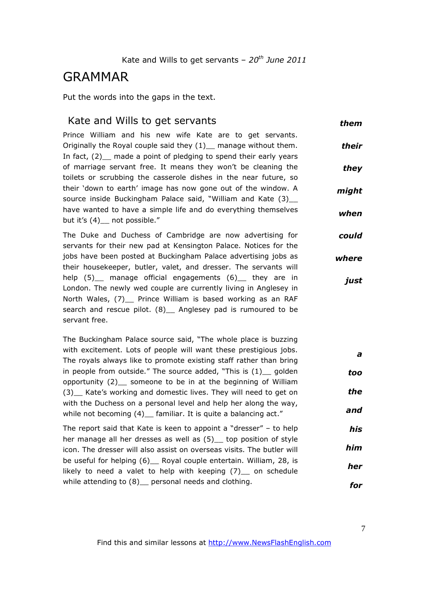## GRAMMAR

Put the words into the gaps in the text.

### Kate and Wills to get servants

*them*

Prince William and his new wife Kate are to get servants. Originally the Royal couple said they  $(1)$  manage without them. In fact, (2) made a point of pledging to spend their early years of marriage servant free. It means they won't be cleaning the toilets or scrubbing the casserole dishes in the near future, so their 'down to earth' image has now gone out of the window. A source inside Buckingham Palace said, "William and Kate (3) have wanted to have a simple life and do everything themselves but it's (4)\_ not possible." *their they might when*

The Duke and Duchess of Cambridge are now advertising for servants for their new pad at Kensington Palace. Notices for the jobs have been posted at Buckingham Palace advertising jobs as their housekeeper, butler, valet, and dresser. The servants will help (5) manage official engagements (6) they are in London. The newly wed couple are currently living in Anglesey in North Wales, (7) Prince William is based working as an RAF search and rescue pilot. (8) \_ Anglesey pad is rumoured to be servant free. *could where just*

The Buckingham Palace source said, "The whole place is buzzing with excitement. Lots of people will want these prestigious jobs. The royals always like to promote existing staff rather than bring in people from outside." The source added, "This is  $(1)$  golden opportunity  $(2)$  someone to be in at the beginning of William (3)\_\_ Kate's working and domestic lives. They will need to get on with the Duchess on a personal level and help her along the way, while not becoming (4) familiar. It is quite a balancing act." *a too the and*

The report said that Kate is keen to appoint a "dresser" – to help her manage all her dresses as well as (5)\_ top position of style icon. The dresser will also assist on overseas visits. The butler will be useful for helping (6) Royal couple entertain. William, 28, is likely to need a valet to help with keeping (7) on schedule while attending to (8) personal needs and clothing. *his him her for*